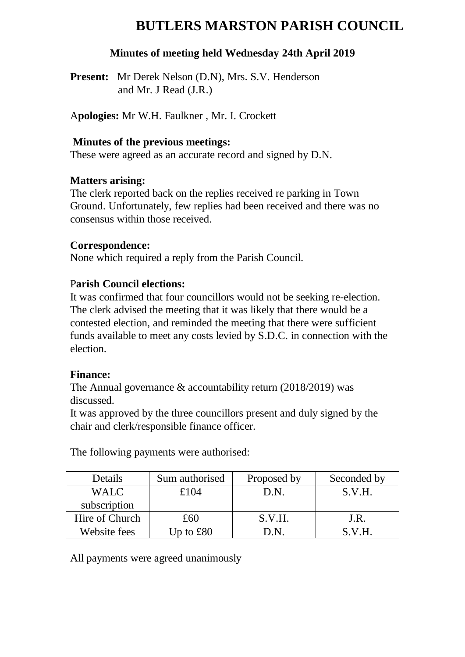# **BUTLERS MARSTON PARISH COUNCIL**

#### **Minutes of meeting held Wednesday 24th April 2019**

**Present:** Mr Derek Nelson (D.N), Mrs. S.V. Henderson and Mr. J Read (J.R.)

A**pologies:** Mr W.H. Faulkner , Mr. I. Crockett

#### **Minutes of the previous meetings:**

These were agreed as an accurate record and signed by D.N.

#### **Matters arising:**

The clerk reported back on the replies received re parking in Town Ground. Unfortunately, few replies had been received and there was no consensus within those received.

#### **Correspondence:**

None which required a reply from the Parish Council.

#### P**arish Council elections:**

It was confirmed that four councillors would not be seeking re-election. The clerk advised the meeting that it was likely that there would be a contested election, and reminded the meeting that there were sufficient funds available to meet any costs levied by S.D.C. in connection with the election.

#### **Finance:**

The Annual governance & accountability return (2018/2019) was discussed.

It was approved by the three councillors present and duly signed by the chair and clerk/responsible finance officer.

| Details        | Sum authorised    | Proposed by | Seconded by |
|----------------|-------------------|-------------|-------------|
| WALC           | £104              | D.N.        | S.V.H.      |
| subscription   |                   |             |             |
| Hire of Church | £60               | S.V.H.      | J.R.        |
| Website fees   | Up to $\pounds80$ |             | S.V.H.      |

The following payments were authorised:

All payments were agreed unanimously